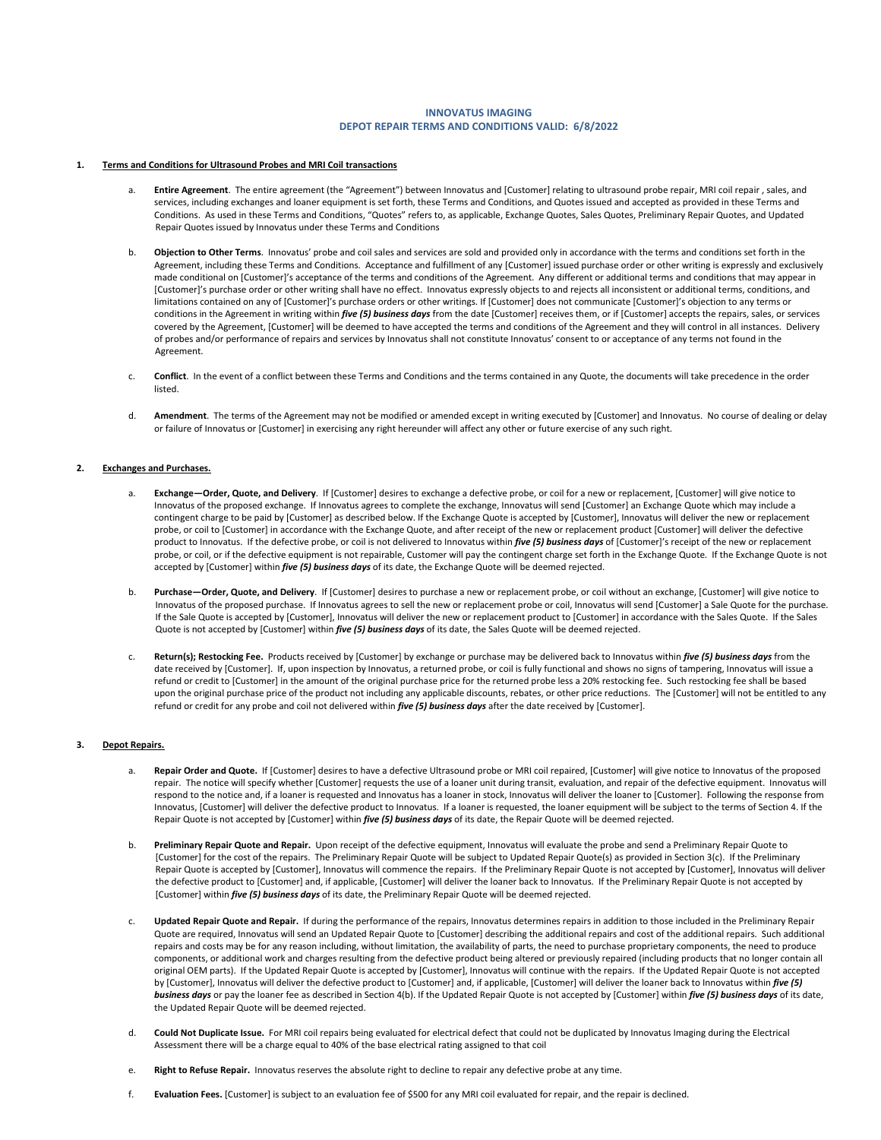# **INNOVATUS IMAGING DEPOT REPAIR TERMS AND CONDITIONS VALID: 6/8/2022**

#### **1. Terms and Conditions for Ultrasound Probes and MRI Coil transactions**

- Entire Agreement. The entire agreement (the "Agreement") between Innovatus and [Customer] relating to ultrasound probe repair, MRI coil repair, sales, and services, including exchanges and loaner equipment is set forth, these Terms and Conditions, and Quotes issued and accepted as provided in these Terms and Conditions. As used in these Terms and Conditions, "Quotes" refers to, as applicable, Exchange Quotes, Sales Quotes, Preliminary Repair Quotes, and Updated Repair Quotes issued by Innovatus under these Terms and Conditions
- b. **Objection to Other Terms**. Innovatus' probe and coil sales and services are sold and provided only in accordance with the terms and conditions set forth in the Agreement, including these Terms and Conditions. Acceptance and fulfillment of any [Customer] issued purchase order or other writing is expressly and exclusively made conditional on [Customer]'s acceptance of the terms and conditions of the Agreement. Any different or additional terms and conditions that may appear in [Customer]'s purchase order or other writing shall have no effect. Innovatus expressly objects to and rejects all inconsistent or additional terms, conditions, and limitations contained on any of [Customer]'s purchase orders or other writings. If [Customer] does not communicate [Customer]'s objection to any terms or conditions in the Agreement in writing within *five (5) business days* from the date [Customer] receives them, or if [Customer] accepts the repairs, sales, or services covered by the Agreement, [Customer] will be deemed to have accepted the terms and conditions of the Agreement and they will control in all instances. Delivery of probes and/or performance of repairs and services by Innovatus shall not constitute Innovatus' consent to or acceptance of any terms not found in the Agreement.
- c. **Conflict**. In the event of a conflict between these Terms and Conditions and the terms contained in any Quote, the documents will take precedence in the order listed.
- d. **Amendment**. The terms of the Agreement may not be modified or amended except in writing executed by [Customer] and Innovatus. No course of dealing or delay or failure of Innovatus or [Customer] in exercising any right hereunder will affect any other or future exercise of any such right.

# **2. Exchanges and Purchases.**

- a. **Exchange—Order, Quote, and Delivery**. If [Customer] desires to exchange a defective probe, or coil for a new or replacement, [Customer] will give notice to Innovatus of the proposed exchange. If Innovatus agrees to complete the exchange, Innovatus will send [Customer] an Exchange Quote which may include a contingent charge to be paid by [Customer] as described below. If the Exchange Quote is accepted by [Customer], Innovatus will deliver the new or replacement probe, or coil to [Customer] in accordance with the Exchange Quote, and after receipt of the new or replacement product [Customer] will deliver the defective product to Innovatus. If the defective probe, or coil is not delivered to Innovatus within *five (5) business days* of [Customer]'s receipt of the new or replacement probe, or coil, or if the defective equipment is not repairable, Customer will pay the contingent charge set forth in the Exchange Quote. If the Exchange Quote is not accepted by [Customer] within *five (5) business days* of its date, the Exchange Quote will be deemed rejected.
- b. **Purchase—Order, Quote, and Delivery**. If [Customer] desires to purchase a new or replacement probe, or coil without an exchange, [Customer] will give notice to Innovatus of the proposed purchase. If Innovatus agrees to sell the new or replacement probe or coil, Innovatus will send [Customer] a Sale Quote for the purchase. If the Sale Quote is accepted by [Customer], Innovatus will deliver the new or replacement product to [Customer] in accordance with the Sales Quote. If the Sales Quote is not accepted by [Customer] within *five (5) business days* of its date, the Sales Quote will be deemed rejected.
- c. **Return(s); Restocking Fee.** Products received by [Customer] by exchange or purchase may be delivered back to Innovatus within *five (5) business days* from the date received by [Customer]. If, upon inspection by Innovatus, a returned probe, or coil is fully functional and shows no signs of tampering, Innovatus will issue a refund or credit to [Customer] in the amount of the original purchase price for the returned probe less a 20% restocking fee. Such restocking fee shall be based upon the original purchase price of the product not including any applicable discounts, rebates, or other price reductions. The [Customer] will not be entitled to any refund or credit for any probe and coil not delivered within *five (5) business days* after the date received by [Customer].

## **3. Depot Repairs.**

- Repair Order and Quote. If [Customer] desires to have a defective Ultrasound probe or MRI coil repaired, [Customer] will give notice to Innovatus of the proposed repair. The notice will specify whether [Customer] requests the use of a loaner unit during transit, evaluation, and repair of the defective equipment. Innovatus will respond to the notice and, if a loaner is requested and Innovatus has a loaner in stock, Innovatus will deliver the loaner to [Customer]. Following the response from Innovatus, [Customer] will deliver the defective product to Innovatus. If a loaner is requested, the loaner equipment will be subject to the terms of Section 4. If the Repair Quote is not accepted by [Customer] within *five (5) business days* of its date, the Repair Quote will be deemed rejected.
- b. **Preliminary Repair Quote and Repair.** Upon receipt of the defective equipment, Innovatus will evaluate the probe and send a Preliminary Repair Quote to [Customer] for the cost of the repairs. The Preliminary Repair Quote will be subject to Updated Repair Quote(s) as provided in Section 3(c). If the Preliminary Repair Quote is accepted by [Customer], Innovatus will commence the repairs. If the Preliminary Repair Quote is not accepted by [Customer], Innovatus will deliver the defective product to [Customer] and, if applicable, [Customer] will deliver the loaner back to Innovatus. If the Preliminary Repair Quote is not accepted by [Customer] within *five (5) business days* of its date, the Preliminary Repair Quote will be deemed rejected.
- c. **Updated Repair Quote and Repair.** If during the performance of the repairs, Innovatus determines repairs in addition to those included in the Preliminary Repair Quote are required, Innovatus will send an Updated Repair Quote to [Customer] describing the additional repairs and cost of the additional repairs. Such additional repairs and costs may be for any reason including, without limitation, the availability of parts, the need to purchase proprietary components, the need to produce components, or additional work and charges resulting from the defective product being altered or previously repaired (including products that no longer contain all original OEM parts). If the Updated Repair Quote is accepted by [Customer], Innovatus will continue with the repairs. If the Updated Repair Quote is not accepted by [Customer], Innovatus will deliver the defective product to [Customer] and, if applicable, [Customer] will deliver the loaner back to Innovatus within *five (5) business days* or pay the loaner fee as described in Section 4(b). If the Updated Repair Quote is not accepted by [Customer] within *five (5) business days* of its date, the Updated Repair Quote will be deemed rejected.
- Could Not Duplicate Issue. For MRI coil repairs being evaluated for electrical defect that could not be duplicated by Innovatus Imaging during the Electrical Assessment there will be a charge equal to 40% of the base electrical rating assigned to that coil
- e. **Right to Refuse Repair.** Innovatus reserves the absolute right to decline to repair any defective probe at any time.
- f. **Evaluation Fees.** [Customer] is subject to an evaluation fee of \$500 for any MRI coil evaluated for repair, and the repair is declined.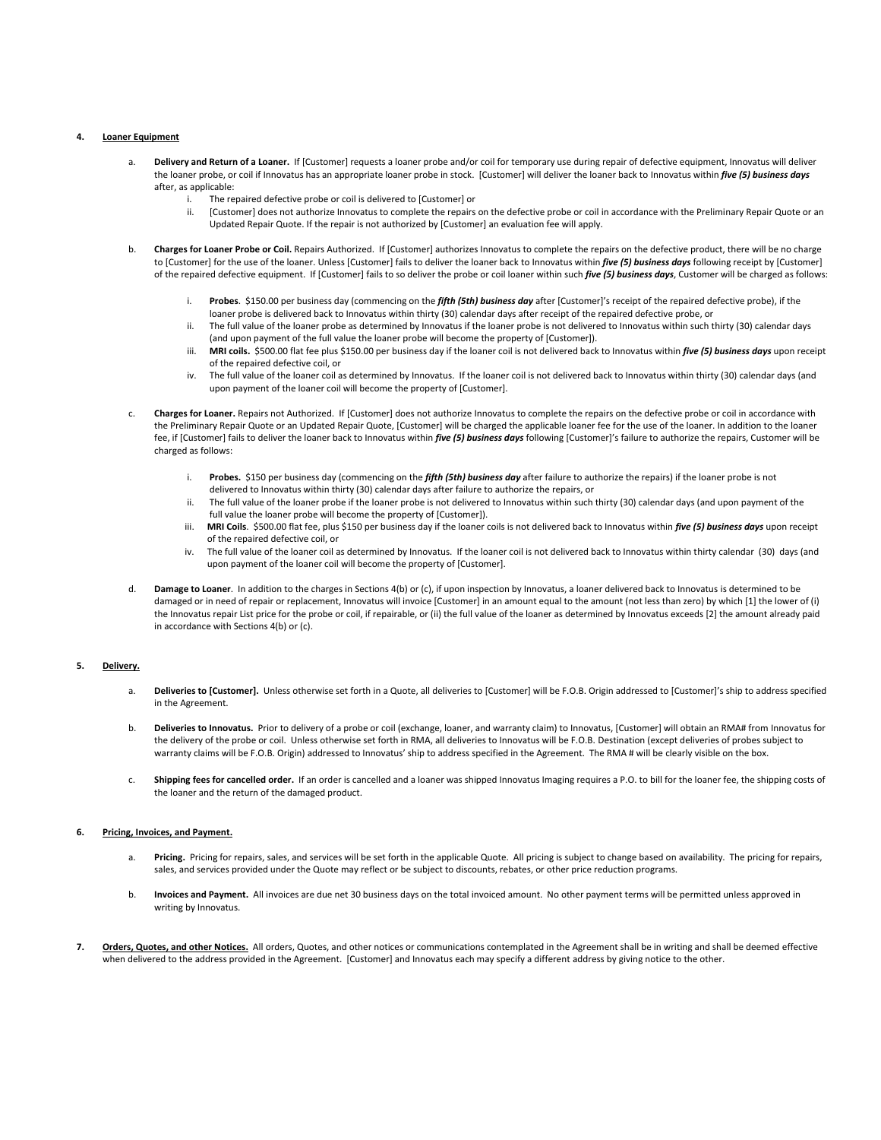#### **4. Loaner Equipment**

- a. Delivery and Return of a Loaner. If [Customer] requests a loaner probe and/or coil for temporary use during repair of defective equipment, Innovatus will deliver the loaner probe, or coil if Innovatus has an appropriate loaner probe in stock. [Customer] will deliver the loaner back to Innovatus within *five (5) business days* after, as applicable:
	- i. The repaired defective probe or coil is delivered to [Customer] or<br>ii [Customer] does not authorize Innovatus to complete the repairs
	- [Customer] does not authorize Innovatus to complete the repairs on the defective probe or coil in accordance with the Preliminary Repair Quote or an Updated Repair Quote. If the repair is not authorized by [Customer] an evaluation fee will apply.
- b. Charges for Loaner Probe or Coil. Repairs Authorized. If [Customer] authorizes Innovatus to complete the repairs on the defective product, there will be no charge to [Customer] for the use of the loaner. Unless [Customer] fails to deliver the loaner back to Innovatus within *five (5) business days* following receipt by [Customer] of the repaired defective equipment. If [Customer] fails to so deliver the probe or coil loaner within such *five (5) business days*, Customer will be charged as follows:
	- i. **Probes**. \$150.00 per business day (commencing on the *fifth (5th) business day* after [Customer]'s receipt of the repaired defective probe), if the loaner probe is delivered back to Innovatus within thirty (30) calendar days after receipt of the repaired defective probe, or
	- ii. The full value of the loaner probe as determined by Innovatus if the loaner probe is not delivered to Innovatus within such thirty (30) calendar days (and upon payment of the full value the loaner probe will become the property of [Customer]).
	- iii. **MRI coils.** \$500.00 flat fee plus \$150.00 per business day if the loaner coil is not delivered back to Innovatus within *five (5) business days* upon receipt of the repaired defective coil, or
	- iv. The full value of the loaner coil as determined by Innovatus. If the loaner coil is not delivered back to Innovatus within thirty (30) calendar days (and upon payment of the loaner coil will become the property of [Customer].
- Charges for Loaner. Repairs not Authorized. If [Customer] does not authorize Innovatus to complete the repairs on the defective probe or coil in accordance with the Preliminary Repair Quote or an Updated Repair Quote, [Customer] will be charged the applicable loaner fee for the use of the loaner. In addition to the loaner fee, if [Customer] fails to deliver the loaner back to Innovatus within *five (5) business days* following [Customer]'s failure to authorize the repairs, Customer will be charged as follows:
	- i. **Probes.** \$150 per business day (commencing on the *fifth (5th) business day* after failure to authorize the repairs) if the loaner probe is not delivered to Innovatus within thirty (30) calendar days after failure to authorize the repairs, or
	- ii. The full value of the loaner probe if the loaner probe is not delivered to Innovatus within such thirty (30) calendar days (and upon payment of the full value the loaner probe will become the property of [Customer]).
	- iii. **MRI Coils**. \$500.00 flat fee, plus \$150 per business day if the loaner coils is not delivered back to Innovatus within *five (5) business days* upon receipt of the repaired defective coil, or
	- iv. The full value of the loaner coil as determined by Innovatus. If the loaner coil is not delivered back to Innovatus within thirty calendar (30) days (and upon payment of the loaner coil will become the property of [Customer].
- d. **Damage to Loaner**. In addition to the charges in Sections 4(b) or (c), if upon inspection by Innovatus, a loaner delivered back to Innovatus is determined to be damaged or in need of repair or replacement, Innovatus will invoice [Customer] in an amount equal to the amount (not less than zero) by which [1] the lower of (i) the Innovatus repair List price for the probe or coil, if repairable, or (ii) the full value of the loaner as determined by Innovatus exceeds [2] the amount already paid in accordance with Sections 4(b) or (c).

# **5. Delivery.**

- a. **Deliveries to [Customer].** Unless otherwise set forth in a Quote, all deliveries to [Customer] will be F.O.B. Origin addressed to [Customer]'s ship to address specified in the Agreement.
- b. Deliveries to Innovatus. Prior to delivery of a probe or coil (exchange, loaner, and warranty claim) to Innovatus, [Customer] will obtain an RMA# from Innovatus for the delivery of the probe or coil. Unless otherwise set forth in RMA, all deliveries to Innovatus will be F.O.B. Destination (except deliveries of probes subject to warranty claims will be F.O.B. Origin) addressed to Innovatus' ship to address specified in the Agreement. The RMA # will be clearly visible on the box.
- c. **Shipping fees for cancelled order.** If an order is cancelled and a loaner was shipped Innovatus Imaging requires a P.O. to bill for the loaner fee, the shipping costs of the loaner and the return of the damaged product.

## **6. Pricing, Invoices, and Payment.**

- a. Pricing. Pricing for repairs, sales, and services will be set forth in the applicable Quote. All pricing is subject to change based on availability. The pricing for repairs, sales, and services provided under the Quote may reflect or be subject to discounts, rebates, or other price reduction programs.
- b. **Invoices and Payment.** All invoices are due net 30 business days on the total invoiced amount. No other payment terms will be permitted unless approved in writing by Innovatus.
- **7. Orders, Quotes, and other Notices.** All orders, Quotes, and other notices or communications contemplated in the Agreement shall be in writing and shall be deemed effective when delivered to the address provided in the Agreement. [Customer] and Innovatus each may specify a different address by giving notice to the other.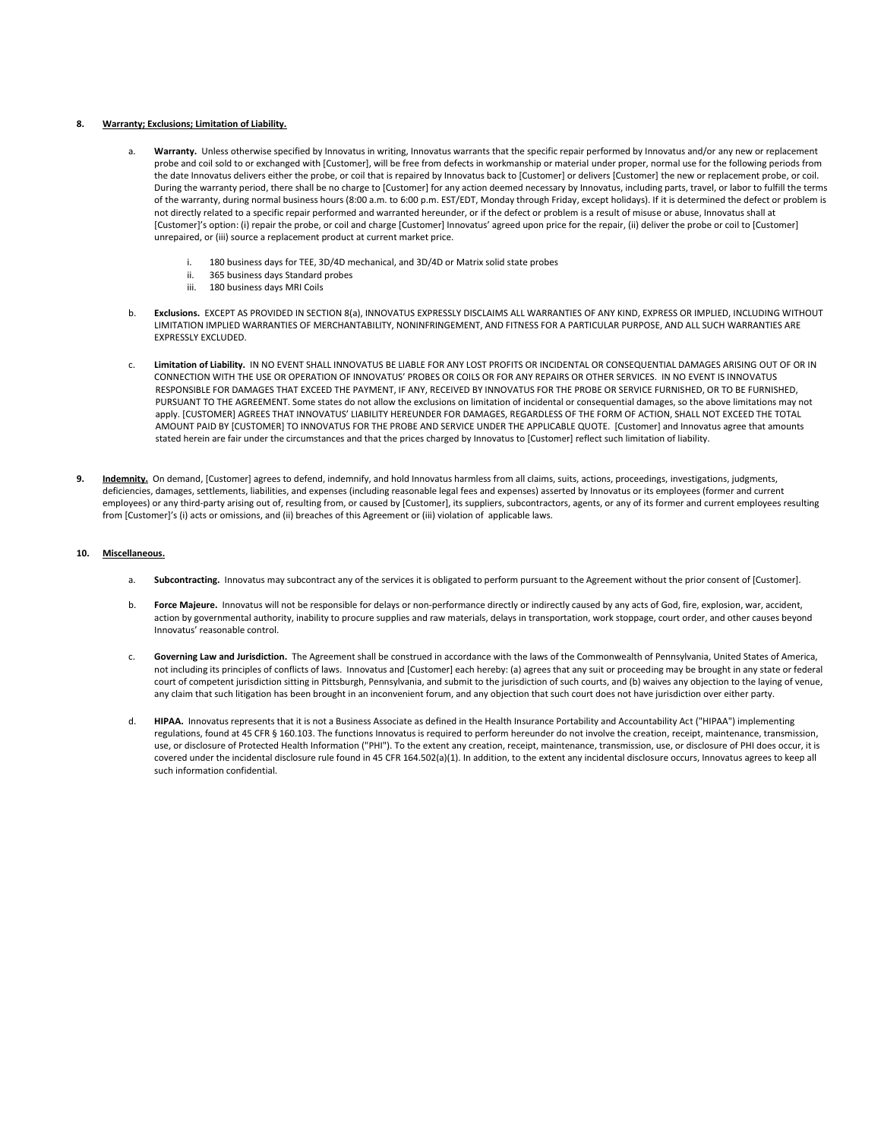## **8. Warranty; Exclusions; Limitation of Liability.**

- Warranty. Unless otherwise specified by Innovatus in writing, Innovatus warrants that the specific repair performed by Innovatus and/or any new or replacement probe and coil sold to or exchanged with [Customer], will be free from defects in workmanship or material under proper, normal use for the following periods from the date Innovatus delivers either the probe, or coil that is repaired by Innovatus back to [Customer] or delivers [Customer] the new or replacement probe, or coil. During the warranty period, there shall be no charge to [Customer] for any action deemed necessary by Innovatus, including parts, travel, or labor to fulfill the terms of the warranty, during normal business hours (8:00 a.m. to 6:00 p.m. EST/EDT, Monday through Friday, except holidays). If it is determined the defect or problem is not directly related to a specific repair performed and warranted hereunder, or if the defect or problem is a result of misuse or abuse, Innovatus shall at [Customer]'s option: (i) repair the probe, or coil and charge [Customer] Innovatus' agreed upon price for the repair, (ii) deliver the probe or coil to [Customer] unrepaired, or (iii) source a replacement product at current market price.
	- i. 180 business days for TEE, 3D/4D mechanical, and 3D/4D or Matrix solid state probes<br>ii. 365 business days Standard probes
	- 365 business days Standard probes
	- iii. 180 business days MRI Coils
- b. **Exclusions.** EXCEPT AS PROVIDED IN SECTION 8(a), INNOVATUS EXPRESSLY DISCLAIMS ALL WARRANTIES OF ANY KIND, EXPRESS OR IMPLIED, INCLUDING WITHOUT LIMITATION IMPLIED WARRANTIES OF MERCHANTABILITY, NONINFRINGEMENT, AND FITNESS FOR A PARTICULAR PURPOSE, AND ALL SUCH WARRANTIES ARE EXPRESSLY EXCLUDED.
- c. **Limitation of Liability.** IN NO EVENT SHALL INNOVATUS BE LIABLE FOR ANY LOST PROFITS OR INCIDENTAL OR CONSEQUENTIAL DAMAGES ARISING OUT OF OR IN CONNECTION WITH THE USE OR OPERATION OF INNOVATUS' PROBES OR COILS OR FOR ANY REPAIRS OR OTHER SERVICES. IN NO EVENT IS INNOVATUS RESPONSIBLE FOR DAMAGES THAT EXCEED THE PAYMENT, IF ANY, RECEIVED BY INNOVATUS FOR THE PROBE OR SERVICE FURNISHED, OR TO BE FURNISHED, PURSUANT TO THE AGREEMENT. Some states do not allow the exclusions on limitation of incidental or consequential damages, so the above limitations may not apply. [CUSTOMER] AGREES THAT INNOVATUS' LIABILITY HEREUNDER FOR DAMAGES, REGARDLESS OF THE FORM OF ACTION, SHALL NOT EXCEED THE TOTAL AMOUNT PAID BY [CUSTOMER] TO INNOVATUS FOR THE PROBE AND SERVICE UNDER THE APPLICABLE QUOTE. [Customer] and Innovatus agree that amounts stated herein are fair under the circumstances and that the prices charged by Innovatus to [Customer] reflect such limitation of liability.
- **9. Indemnity.** On demand, [Customer] agrees to defend, indemnify, and hold Innovatus harmless from all claims, suits, actions, proceedings, investigations, judgments, deficiencies, damages, settlements, liabilities, and expenses (including reasonable legal fees and expenses) asserted by Innovatus or its employees (former and current employees) or any third-party arising out of, resulting from, or caused by [Customer], its suppliers, subcontractors, agents, or any of its former and current employees resulting from [Customer]'s (i) acts or omissions, and (ii) breaches of this Agreement or (iii) violation of applicable laws.

#### **10. Miscellaneous.**

- a. Subcontracting. Innovatus may subcontract any of the services it is obligated to perform pursuant to the Agreement without the prior consent of [Customer].
- b. **Force Majeure.** Innovatus will not be responsible for delays or non-performance directly or indirectly caused by any acts of God, fire, explosion, war, accident, action by governmental authority, inability to procure supplies and raw materials, delays in transportation, work stoppage, court order, and other causes beyond Innovatus' reasonable control.
- Governing Law and Jurisdiction. The Agreement shall be construed in accordance with the laws of the Commonwealth of Pennsylvania, United States of America, not including its principles of conflicts of laws. Innovatus and [Customer] each hereby: (a) agrees that any suit or proceeding may be brought in any state or federal court of competent jurisdiction sitting in Pittsburgh, Pennsylvania, and submit to the jurisdiction of such courts, and (b) waives any objection to the laying of venue, any claim that such litigation has been brought in an inconvenient forum, and any objection that such court does not have jurisdiction over either party.
- HIPAA. Innovatus represents that it is not a Business Associate as defined in the Health Insurance Portability and Accountability Act ("HIPAA") implementing regulations, found at 45 CFR § 160.103. The functions Innovatus is required to perform hereunder do not involve the creation, receipt, maintenance, transmission, use, or disclosure of Protected Health Information ("PHI"). To the extent any creation, receipt, maintenance, transmission, use, or disclosure of PHI does occur, it is covered under the incidental disclosure rule found in 45 CFR 164.502(a)(1). In addition, to the extent any incidental disclosure occurs, Innovatus agrees to keep all such information confidential.